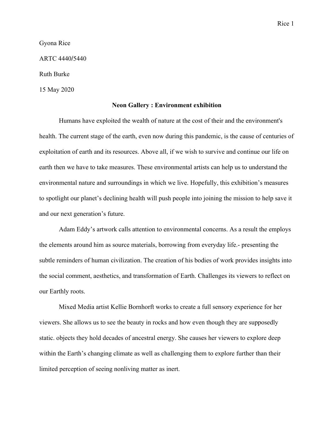Gyona Rice

ARTC 4440/5440

Ruth Burke

15 May 2020

## **Neon Gallery : Environment exhibition**

Humans have exploited the wealth of nature at the cost of their and the environment's health. The current stage of the earth, even now during this pandemic, is the cause of centuries of exploitation of earth and its resources. Above all, if we wish to survive and continue our life on earth then we have to take measures. These environmental artists can help us to understand the environmental nature and surroundings in which we live. Hopefully, this exhibition's measures to spotlight our planet's declining health will push people into joining the mission to help save it and our next generation's future.

Adam Eddy's artwork calls attention to environmental concerns. As a result the employs the elements around him as source materials, borrowing from everyday life.- presenting the subtle reminders of human civilization. The creation of his bodies of work provides insights into the social comment, aesthetics, and transformation of Earth. Challenges its viewers to reflect on our Earthly roots.

Mixed Media artist Kellie Bornhorft works to create a full sensory experience for her viewers. She allows us to see the beauty in rocks and how even though they are supposedly static. objects they hold decades of ancestral energy. She causes her viewers to explore deep within the Earth's changing climate as well as challenging them to explore further than their limited perception of seeing nonliving matter as inert.